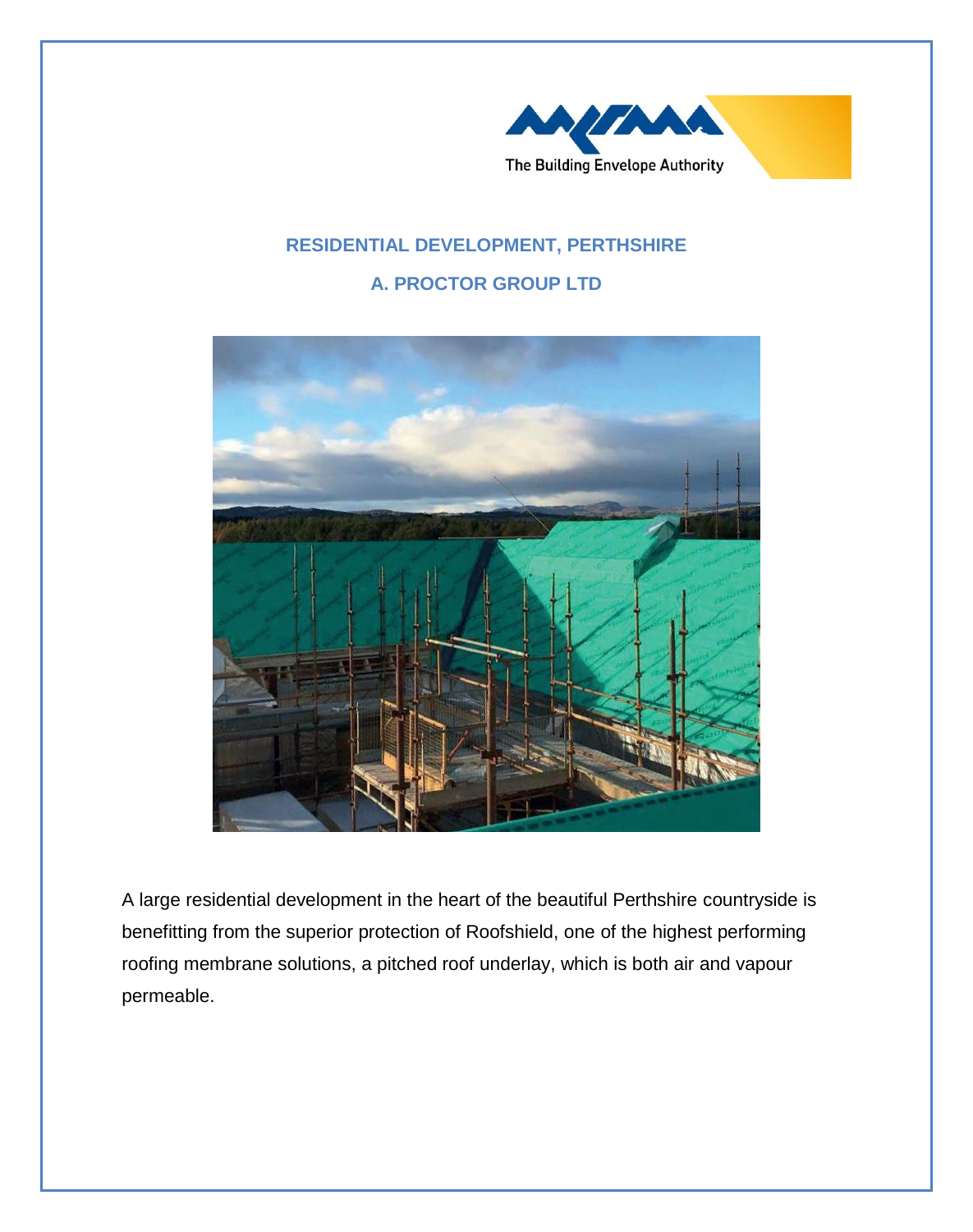

## **RESIDENTIAL DEVELOPMENT, PERTHSHIRE A. PROCTOR GROUP LTD**



A large residential development in the heart of the beautiful Perthshire countryside is benefitting from the superior protection of Roofshield, one of the highest performing roofing membrane solutions, a pitched roof underlay, which is both air and vapour permeable.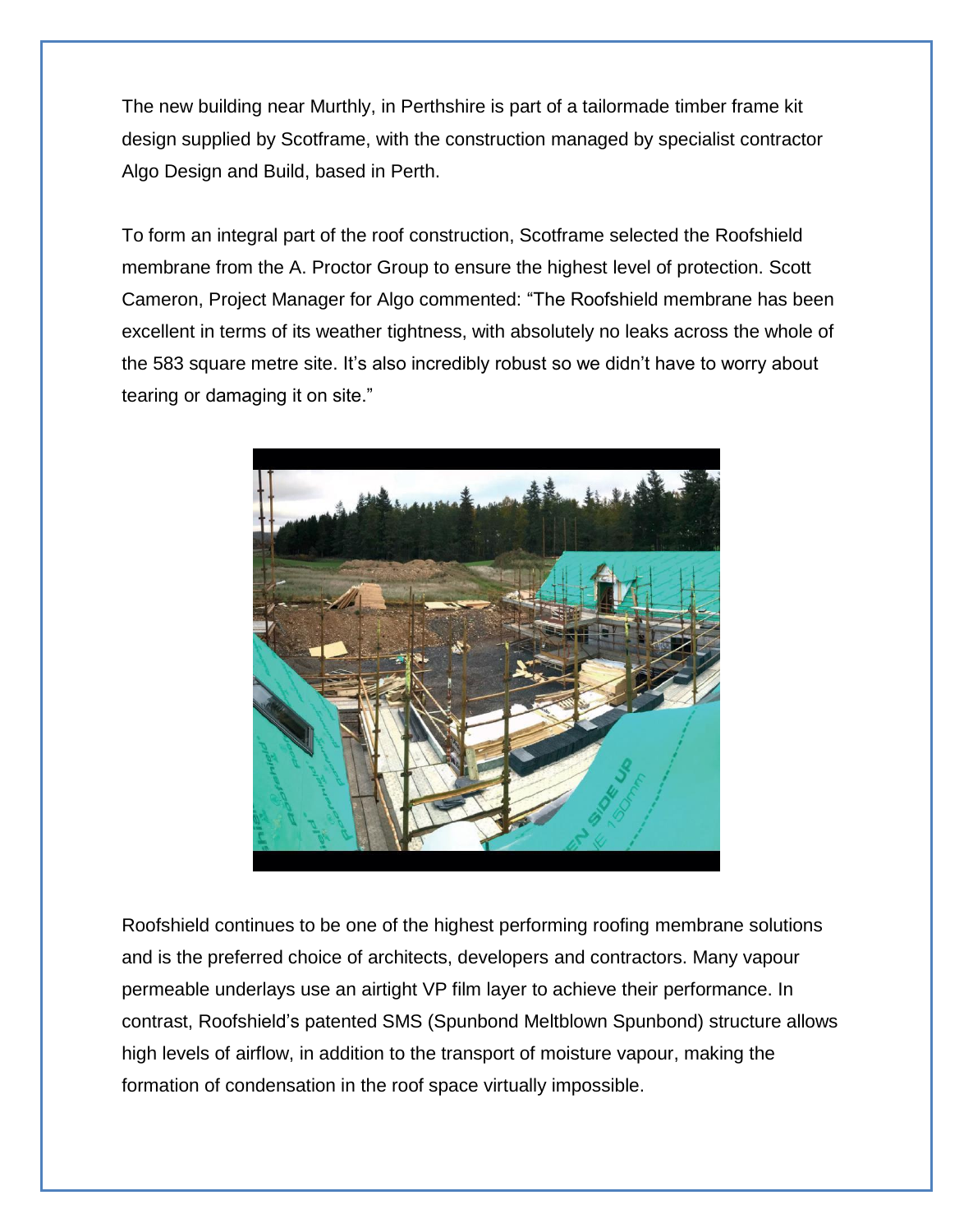The new building near Murthly, in Perthshire is part of a tailormade timber frame kit design supplied by Scotframe, with the construction managed by specialist contractor Algo Design and Build, based in Perth.

To form an integral part of the roof construction, Scotframe selected the Roofshield membrane from the A. Proctor Group to ensure the highest level of protection. Scott Cameron, Project Manager for Algo commented: "The Roofshield membrane has been excellent in terms of its weather tightness, with absolutely no leaks across the whole of the 583 square metre site. It's also incredibly robust so we didn't have to worry about tearing or damaging it on site."



Roofshield continues to be one of the highest performing roofing membrane solutions and is the preferred choice of architects, developers and contractors. Many vapour permeable underlays use an airtight VP film layer to achieve their performance. In contrast, Roofshield's patented SMS (Spunbond Meltblown Spunbond) structure allows high levels of airflow, in addition to the transport of moisture vapour, making the formation of condensation in the roof space virtually impossible.